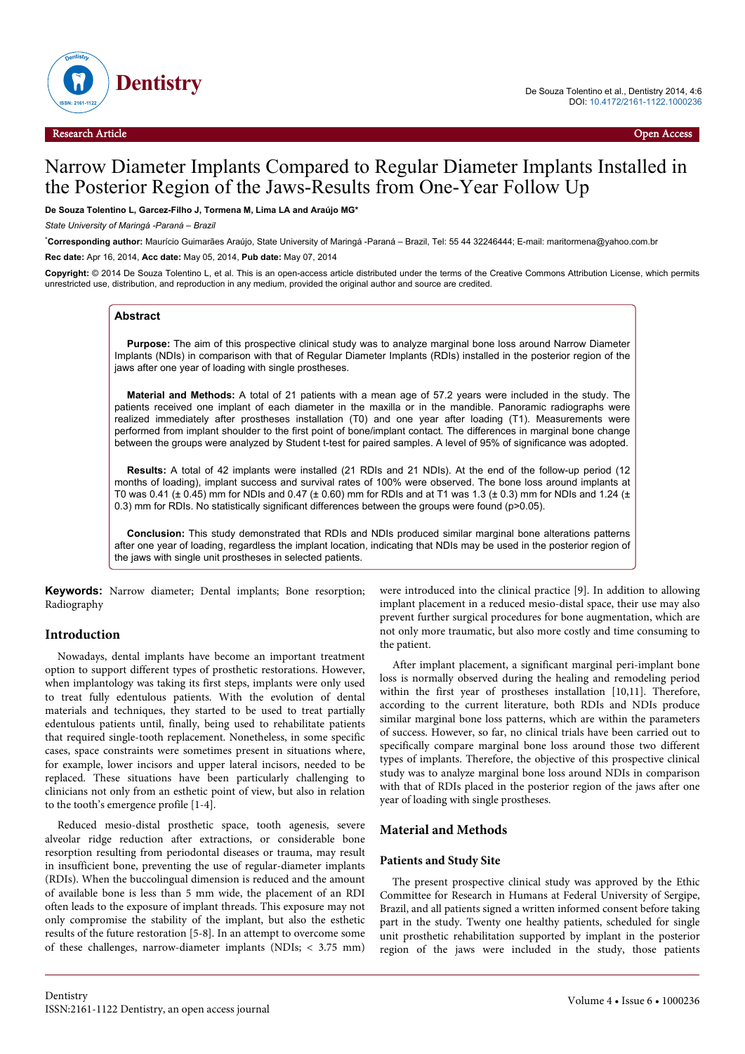

# Narrow Diameter Implants Compared to Regular Diameter Implants Installed in the Posterior Region of the Jaws-Results from One-Year Follow Up

## **De Souza Tolentino L, Garcez-Filho J, Tormena M, Lima LA and Araújo MG\***

*State University of Maringá -Paraná – Brazil*

\***Corresponding author:** Maurício Guimarães Araújo, State University of Maringá -Paraná – Brazil, Tel: 55 44 32246444; E-mail: maritormena@yahoo.com.br **Rec date:** Apr 16, 2014, **Acc date:** May 05, 2014, **Pub date:** May 07, 2014

**Copyright:** © 2014 De Souza Tolentino L, et al. This is an open-access article distributed under the terms of the Creative Commons Attribution License, which permits unrestricted use, distribution, and reproduction in any medium, provided the original author and source are credited.

#### **Abstract**

**Purpose:** The aim of this prospective clinical study was to analyze marginal bone loss around Narrow Diameter Implants (NDIs) in comparison with that of Regular Diameter Implants (RDIs) installed in the posterior region of the jaws after one year of loading with single prostheses.

**Material and Methods:** A total of 21 patients with a mean age of 57.2 years were included in the study. The patients received one implant of each diameter in the maxilla or in the mandible. Panoramic radiographs were realized immediately after prostheses installation (T0) and one year after loading (T1). Measurements were performed from implant shoulder to the first point of bone/implant contact. The differences in marginal bone change between the groups were analyzed by Student t-test for paired samples. A level of 95% of significance was adopted.

**Results:** A total of 42 implants were installed (21 RDIs and 21 NDIs). At the end of the follow-up period (12 months of loading), implant success and survival rates of 100% were observed. The bone loss around implants at T0 was 0.41 ( $\pm$  0.45) mm for NDIs and 0.47 ( $\pm$  0.60) mm for RDIs and at T1 was 1.3 ( $\pm$  0.3) mm for NDIs and 1.24 ( $\pm$ 0.3) mm for RDIs. No statistically significant differences between the groups were found (p>0.05).

**Conclusion:** This study demonstrated that RDIs and NDIs produced similar marginal bone alterations patterns after one year of loading, regardless the implant location, indicating that NDIs may be used in the posterior region of the jaws with single unit prostheses in selected patients.

**Keywords:** Narrow diameter; Dental implants; Bone resorption; Radiography

# **Introduction**

Nowadays, dental implants have become an important treatment option to support different types of prosthetic restorations. However, when implantology was taking its first steps, implants were only used to treat fully edentulous patients. With the evolution of dental materials and techniques, they started to be used to treat partially edentulous patients until, finally, being used to rehabilitate patients that required single-tooth replacement. Nonetheless, in some specific cases, space constraints were sometimes present in situations where, for example, lower incisors and upper lateral incisors, needed to be replaced. These situations have been particularly challenging to clinicians not only from an esthetic point of view, but also in relation to the tooth's emergence profile [1-4].

Reduced mesio-distal prosthetic space, tooth agenesis, severe alveolar ridge reduction after extractions, or considerable bone resorption resulting from periodontal diseases or trauma, may result in insufficient bone, preventing the use of regular-diameter implants (RDIs). When the buccolingual dimension is reduced and the amount of available bone is less than 5 mm wide, the placement of an RDI often leads to the exposure of implant threads. This exposure may not only compromise the stability of the implant, but also the esthetic results of the future restoration [5-8]. In an attempt to overcome some of these challenges, narrow-diameter implants (NDIs; < 3.75 mm) were introduced into the clinical practice [9]. In addition to allowing implant placement in a reduced mesio-distal space, their use may also prevent further surgical procedures for bone augmentation, which are not only more traumatic, but also more costly and time consuming to the patient.

After implant placement, a significant marginal peri-implant bone loss is normally observed during the healing and remodeling period within the first year of prostheses installation [10,11]. Therefore, according to the current literature, both RDIs and NDIs produce similar marginal bone loss patterns, which are within the parameters of success. However, so far, no clinical trials have been carried out to specifically compare marginal bone loss around those two different types of implants. Therefore, the objective of this prospective clinical study was to analyze marginal bone loss around NDIs in comparison with that of RDIs placed in the posterior region of the jaws after one year of loading with single prostheses.

## **Material and Methods**

#### **Patients and Study Site**

The present prospective clinical study was approved by the Ethic Committee for Research in Humans at Federal University of Sergipe, Brazil, and all patients signed a written informed consent before taking part in the study. Twenty one healthy patients, scheduled for single unit prosthetic rehabilitation supported by implant in the posterior region of the jaws were included in the study, those patients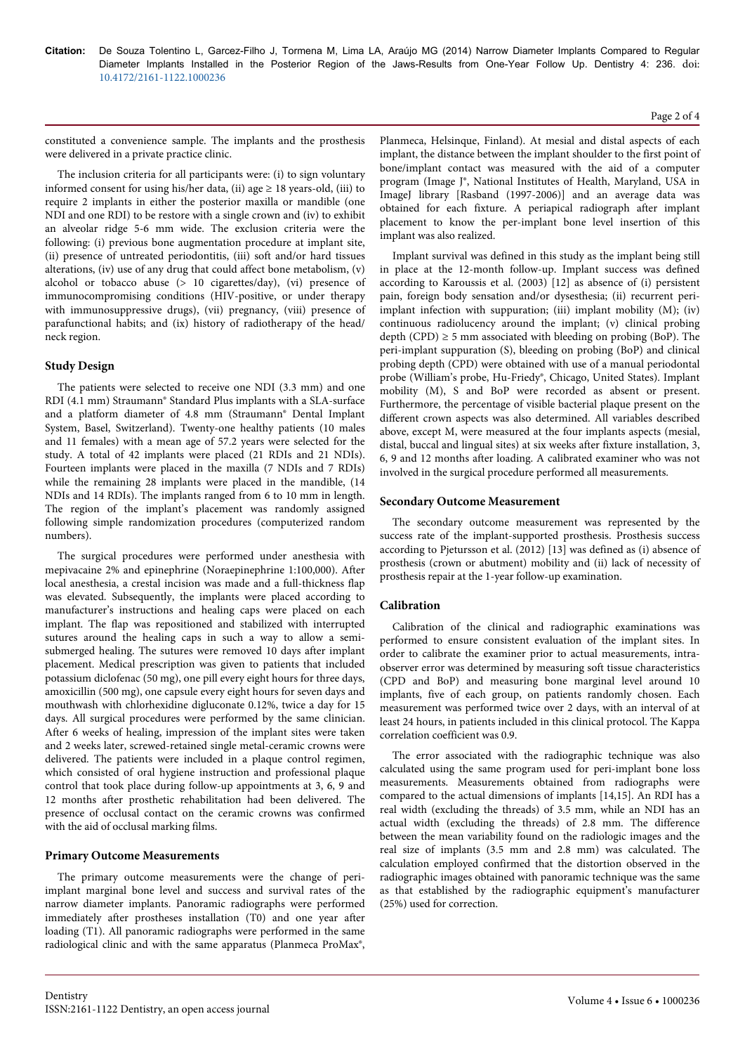**Citation:** De Souza Tolentino L, Garcez-Filho J, Tormena M, Lima LA, Araújo MG (2014) Narrow Diameter Implants Compared to Regular Diameter Implants Installed in the Posterior Region of the Jaws-Results from One-Year Follow Up. Dentistry 4: 236. doi: 10.4172/2161-1122.1000236

#### Page 2 of 4

constituted a convenience sample. The implants and the prosthesis were delivered in a private practice clinic.

The inclusion criteria for all participants were: (i) to sign voluntary informed consent for using his/her data, (ii) age  $\geq 18$  years-old, (iii) to require 2 implants in either the posterior maxilla or mandible (one NDI and one RDI) to be restore with a single crown and (iv) to exhibit an alveolar ridge 5-6 mm wide. The exclusion criteria were the following: (i) previous bone augmentation procedure at implant site, (ii) presence of untreated periodontitis, (iii) soft and/or hard tissues alterations, (iv) use of any drug that could affect bone metabolism, (v) alcohol or tobacco abuse  $(> 10$  cigarettes/day), (vi) presence of immunocompromising conditions (HIV-positive, or under therapy with immunosuppressive drugs), (vii) pregnancy, (viii) presence of parafunctional habits; and (ix) history of radiotherapy of the head/ neck region.

# **Study Design**

The patients were selected to receive one NDI (3.3 mm) and one RDI (4.1 mm) Straumann® Standard Plus implants with a SLA-surface and a platform diameter of 4.8 mm (Straumann® Dental Implant System, Basel, Switzerland). Twenty-one healthy patients (10 males and 11 females) with a mean age of 57.2 years were selected for the study. A total of 42 implants were placed (21 RDIs and 21 NDIs). Fourteen implants were placed in the maxilla (7 NDIs and 7 RDIs) while the remaining 28 implants were placed in the mandible, (14 NDIs and 14 RDIs). The implants ranged from 6 to 10 mm in length. The region of the implant's placement was randomly assigned following simple randomization procedures (computerized random numbers).

The surgical procedures were performed under anesthesia with mepivacaine 2% and epinephrine (Noraepinephrine 1:100,000). After local anesthesia, a crestal incision was made and a full-thickness flap was elevated. Subsequently, the implants were placed according to manufacturer's instructions and healing caps were placed on each implant. The flap was repositioned and stabilized with interrupted sutures around the healing caps in such a way to allow a semisubmerged healing. The sutures were removed 10 days after implant placement. Medical prescription was given to patients that included potassium diclofenac (50 mg), one pill every eight hours for three days, amoxicillin (500 mg), one capsule every eight hours for seven days and mouthwash with chlorhexidine digluconate 0.12%, twice a day for 15 days. All surgical procedures were performed by the same clinician. After 6 weeks of healing, impression of the implant sites were taken and 2 weeks later, screwed-retained single metal-ceramic crowns were delivered. The patients were included in a plaque control regimen, which consisted of oral hygiene instruction and professional plaque control that took place during follow-up appointments at 3, 6, 9 and 12 months after prosthetic rehabilitation had been delivered. The presence of occlusal contact on the ceramic crowns was confirmed with the aid of occlusal marking films.

# **Primary Outcome Measurements**

The primary outcome measurements were the change of periimplant marginal bone level and success and survival rates of the narrow diameter implants. Panoramic radiographs were performed immediately after prostheses installation (T0) and one year after loading (T1). All panoramic radiographs were performed in the same radiological clinic and with the same apparatus (Planmeca ProMax®, Planmeca, Helsinque, Finland). At mesial and distal aspects of each implant, the distance between the implant shoulder to the first point of bone/implant contact was measured with the aid of a computer program (Image J®, National Institutes of Health, Maryland, USA in ImageJ library [Rasband (1997-2006)] and an average data was obtained for each fixture. A periapical radiograph after implant placement to know the per-implant bone level insertion of this implant was also realized.

Implant survival was defined in this study as the implant being still in place at the 12-month follow-up. Implant success was defined according to Karoussis et al. (2003) [12] as absence of (i) persistent pain, foreign body sensation and/or dysesthesia; (ii) recurrent periimplant infection with suppuration; (iii) implant mobility (M); (iv) continuous radiolucency around the implant; (v) clinical probing depth (CPD)  $\geq$  5 mm associated with bleeding on probing (BoP). The peri-implant suppuration (S), bleeding on probing (BoP) and clinical probing depth (CPD) were obtained with use of a manual periodontal probe (William's probe, Hu-Friedy®, Chicago, United States). Implant mobility (M), S and BoP were recorded as absent or present. Furthermore, the percentage of visible bacterial plaque present on the different crown aspects was also determined. All variables described above, except M, were measured at the four implants aspects (mesial, distal, buccal and lingual sites) at six weeks after fixture installation, 3, 6, 9 and 12 months after loading. A calibrated examiner who was not involved in the surgical procedure performed all measurements.

# **Secondary Outcome Measurement**

The secondary outcome measurement was represented by the success rate of the implant-supported prosthesis. Prosthesis success according to Pjetursson et al. (2012) [13] was defined as (i) absence of prosthesis (crown or abutment) mobility and (ii) lack of necessity of prosthesis repair at the 1-year follow-up examination.

# **Calibration**

Calibration of the clinical and radiographic examinations was performed to ensure consistent evaluation of the implant sites. In order to calibrate the examiner prior to actual measurements, intraobserver error was determined by measuring soft tissue characteristics (CPD and BoP) and measuring bone marginal level around 10 implants, five of each group, on patients randomly chosen. Each measurement was performed twice over 2 days, with an interval of at least 24 hours, in patients included in this clinical protocol. The Kappa correlation coefficient was 0.9.

The error associated with the radiographic technique was also calculated using the same program used for peri-implant bone loss measurements. Measurements obtained from radiographs were compared to the actual dimensions of implants [14,15]. An RDI has a real width (excluding the threads) of 3.5 mm, while an NDI has an actual width (excluding the threads) of 2.8 mm. The difference between the mean variability found on the radiologic images and the real size of implants (3.5 mm and 2.8 mm) was calculated. The calculation employed confirmed that the distortion observed in the radiographic images obtained with panoramic technique was the same as that established by the radiographic equipment's manufacturer (25%) used for correction.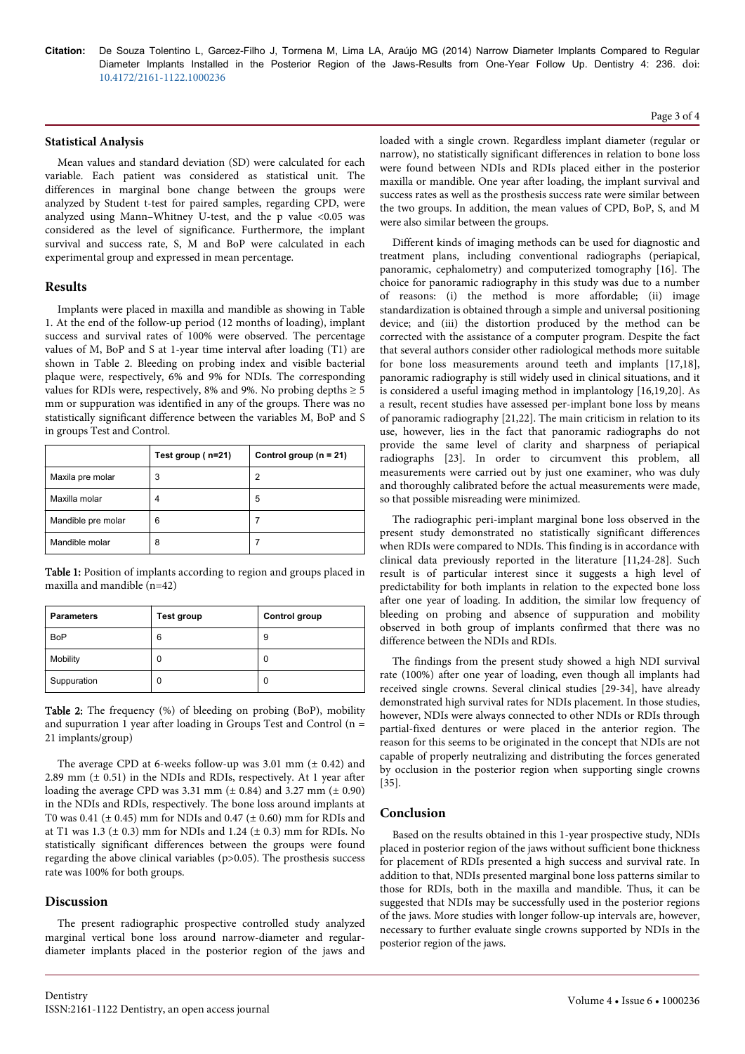**Citation:** De Souza Tolentino L, Garcez-Filho J, Tormena M, Lima LA, Araújo MG (2014) Narrow Diameter Implants Compared to Regular Diameter Implants Installed in the Posterior Region of the Jaws-Results from One-Year Follow Up. Dentistry 4: 236. doi: 10.4172/2161-1122.1000236

## **Statistical Analysis**

Mean values and standard deviation (SD) were calculated for each variable. Each patient was considered as statistical unit. The differences in marginal bone change between the groups were analyzed by Student t-test for paired samples, regarding CPD, were analyzed using Mann–Whitney U-test, and the p value <0.05 was considered as the level of significance. Furthermore, the implant survival and success rate, S, M and BoP were calculated in each experimental group and expressed in mean percentage.

## **Results**

Implants were placed in maxilla and mandible as showing in Table 1. At the end of the follow-up period (12 months of loading), implant success and survival rates of 100% were observed. The percentage values of M, BoP and S at 1-year time interval after loading (T1) are shown in Table 2. Bleeding on probing index and visible bacterial plaque were, respectively, 6% and 9% for NDIs. The corresponding values for RDIs were, respectively, 8% and 9%. No probing depths  $\geq 5$ mm or suppuration was identified in any of the groups. There was no statistically significant difference between the variables M, BoP and S in groups Test and Control.

|                    | Test group (n=21) | Control group ( $n = 21$ ) |
|--------------------|-------------------|----------------------------|
| Maxila pre molar   | 3                 | 2                          |
| Maxilla molar      | 4                 | 5                          |
| Mandible pre molar | 6                 |                            |
| Mandible molar     | 8                 |                            |

Table 1: Position of implants according to region and groups placed in maxilla and mandible (n=42)

| <b>Parameters</b> | Test group | Control group |
|-------------------|------------|---------------|
| <b>BoP</b>        | 6          | 9             |
| Mobility          | 0          | 0             |
| Suppuration       | 0          | 0             |

Table 2: The frequency (%) of bleeding on probing (BoP), mobility and supurration 1 year after loading in Groups Test and Control (n = 21 implants/group)

The average CPD at 6-weeks follow-up was  $3.01$  mm ( $\pm$  0.42) and 2.89 mm  $(\pm 0.51)$  in the NDIs and RDIs, respectively. At 1 year after loading the average CPD was  $3.31$  mm ( $\pm$  0.84) and  $3.27$  mm ( $\pm$  0.90) in the NDIs and RDIs, respectively. The bone loss around implants at T0 was 0.41 ( $\pm$  0.45) mm for NDIs and 0.47 ( $\pm$  0.60) mm for RDIs and at T1 was  $1.3 \ (\pm 0.3)$  mm for NDIs and  $1.24 \ (\pm 0.3)$  mm for RDIs. No statistically significant differences between the groups were found regarding the above clinical variables (p>0.05). The prosthesis success rate was 100% for both groups.

#### **Discussion**

The present radiographic prospective controlled study analyzed marginal vertical bone loss around narrow-diameter and regulardiameter implants placed in the posterior region of the jaws and

#### Page 3 of 4

loaded with a single crown. Regardless implant diameter (regular or narrow), no statistically significant differences in relation to bone loss were found between NDIs and RDIs placed either in the posterior maxilla or mandible. One year after loading, the implant survival and success rates as well as the prosthesis success rate were similar between the two groups. In addition, the mean values of CPD, BoP, S, and M were also similar between the groups.

Different kinds of imaging methods can be used for diagnostic and treatment plans, including conventional radiographs (periapical, panoramic, cephalometry) and computerized tomography [16]. The choice for panoramic radiography in this study was due to a number of reasons: (i) the method is more affordable; (ii) image standardization is obtained through a simple and universal positioning device; and (iii) the distortion produced by the method can be corrected with the assistance of a computer program. Despite the fact that several authors consider other radiological methods more suitable for bone loss measurements around teeth and implants [17,18], panoramic radiography is still widely used in clinical situations, and it is considered a useful imaging method in implantology [16,19,20]. As a result, recent studies have assessed per-implant bone loss by means of panoramic radiography [21,22]. The main criticism in relation to its use, however, lies in the fact that panoramic radiographs do not provide the same level of clarity and sharpness of periapical radiographs [23]. In order to circumvent this problem, all measurements were carried out by just one examiner, who was duly and thoroughly calibrated before the actual measurements were made, so that possible misreading were minimized.

The radiographic peri-implant marginal bone loss observed in the present study demonstrated no statistically significant differences when RDIs were compared to NDIs. This finding is in accordance with clinical data previously reported in the literature [11,24-28]. Such result is of particular interest since it suggests a high level of predictability for both implants in relation to the expected bone loss after one year of loading. In addition, the similar low frequency of bleeding on probing and absence of suppuration and mobility observed in both group of implants confirmed that there was no difference between the NDIs and RDIs.

The findings from the present study showed a high NDI survival rate (100%) after one year of loading, even though all implants had received single crowns. Several clinical studies [29-34], have already demonstrated high survival rates for NDIs placement. In those studies, however, NDIs were always connected to other NDIs or RDIs through partial-fixed dentures or were placed in the anterior region. The reason for this seems to be originated in the concept that NDIs are not capable of properly neutralizing and distributing the forces generated by occlusion in the posterior region when supporting single crowns [35].

# **Conclusion**

Based on the results obtained in this 1-year prospective study, NDIs placed in posterior region of the jaws without sufficient bone thickness for placement of RDIs presented a high success and survival rate. In addition to that, NDIs presented marginal bone loss patterns similar to those for RDIs, both in the maxilla and mandible. Thus, it can be suggested that NDIs may be successfully used in the posterior regions of the jaws. More studies with longer follow-up intervals are, however, necessary to further evaluate single crowns supported by NDIs in the posterior region of the jaws.